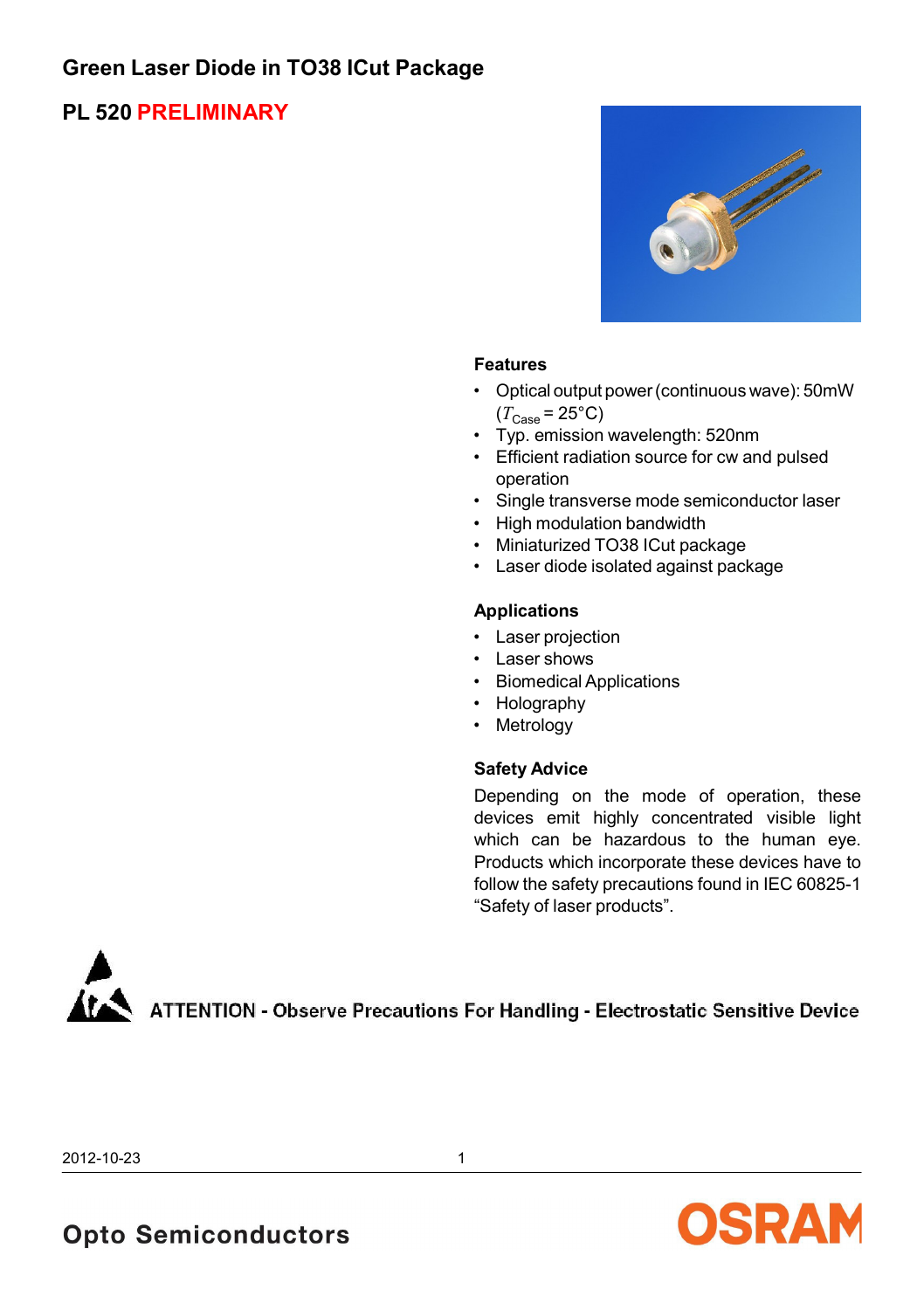# **Green Laser Diode in TO38 ICut Package**

## **PL 520 PRELIMINARY**



#### **Features**

- Optical output power (continuous wave): 50mW  $(T_{\text{Case}} = 25^{\circ} \text{C})$
- Typ. emission wavelength: 520nm
- Efficient radiation source for cw and pulsed operation
- Single transverse mode semiconductor laser
- High modulation bandwidth
- Miniaturized TO38 ICut package
- Laser diode isolated against package

#### **Applications**

- Laser projection
- Laser shows
- Biomedical Applications
- Holography
- Metrology

#### **Safety Advice**

Depending on the mode of operation, these devices emit highly concentrated visible light which can be hazardous to the human eye. Products which incorporate these devices have to follow the safety precautions found in IEC 60825-1 "Safety of laser products".



2012-10-23 1

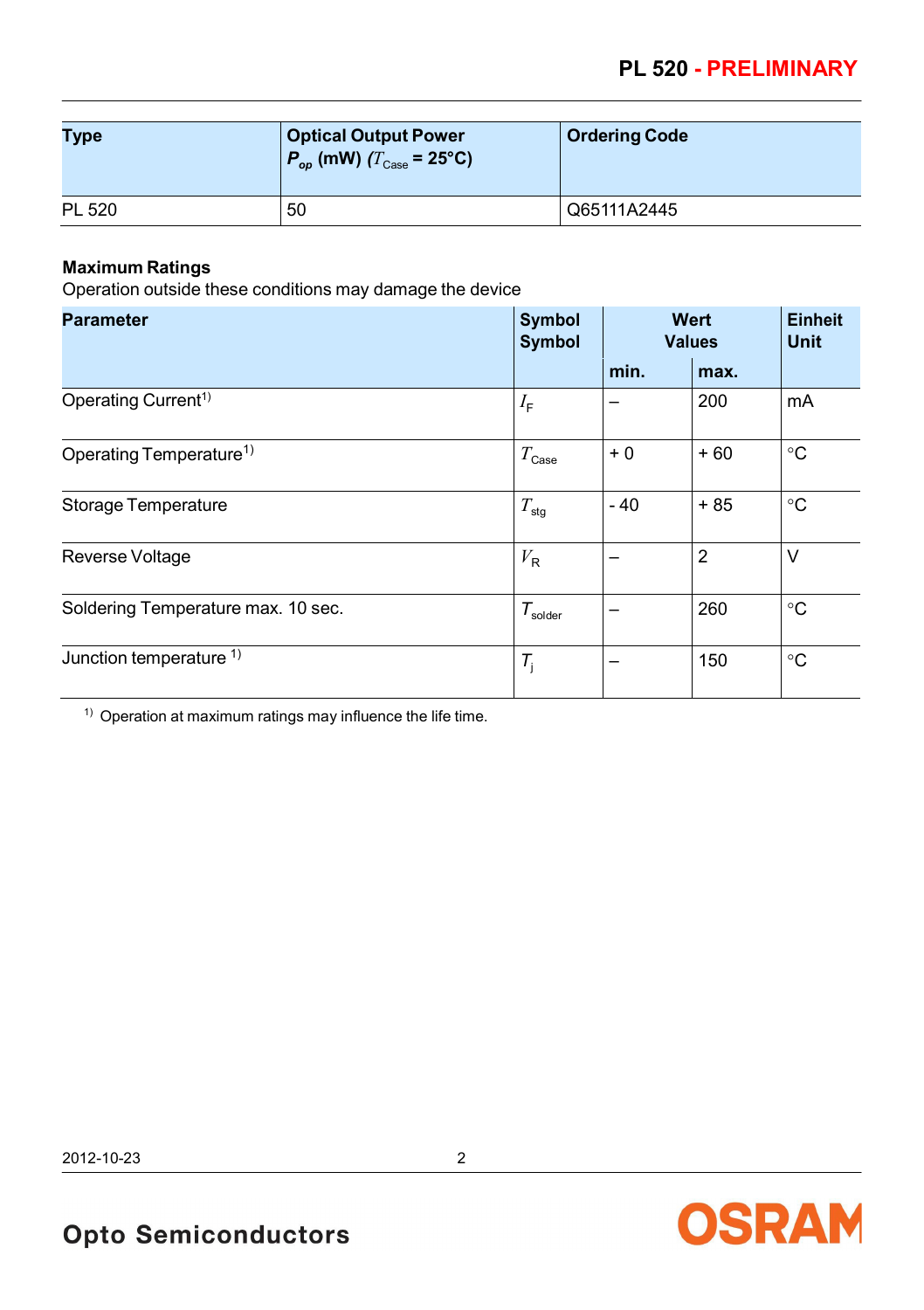| Type   | <b>Optical Output Power</b><br>$P_{op}$ (mW) ( $T_{Case}$ = 25°C) | <b>Ordering Code</b> |
|--------|-------------------------------------------------------------------|----------------------|
| PL 520 | 50                                                                | Q65111A2445          |

### **Maximum Ratings**

Operation outside these conditions may damage the device

| <b>Parameter</b>                    | Symbol<br>Symbol    | Wert<br><b>Values</b> |                | <b>Einheit</b><br><b>Unit</b> |
|-------------------------------------|---------------------|-----------------------|----------------|-------------------------------|
|                                     |                     | min.                  | max.           |                               |
| Operating Current <sup>1)</sup>     | $I_{\mathsf{F}}$    |                       | 200            | mA                            |
| Operating Temperature <sup>1)</sup> | $T_{\rm Case}$      | $+0$                  | $+60$          | $^{\circ}C$                   |
| Storage Temperature                 | $T_{\text{stg}}$    | $-40$                 | $+85$          | $^{\circ}C$                   |
| Reverse Voltage                     | $V_{\mathsf{R}}$    |                       | $\overline{2}$ | V                             |
| Soldering Temperature max. 10 sec.  | $T_{\text{solder}}$ |                       | 260            | $^{\circ}C$                   |
| Junction temperature <sup>1)</sup>  | $T_{\rm i}$         |                       | 150            | $^{\circ}C$                   |

 $1)$  Operation at maximum ratings may influence the life time.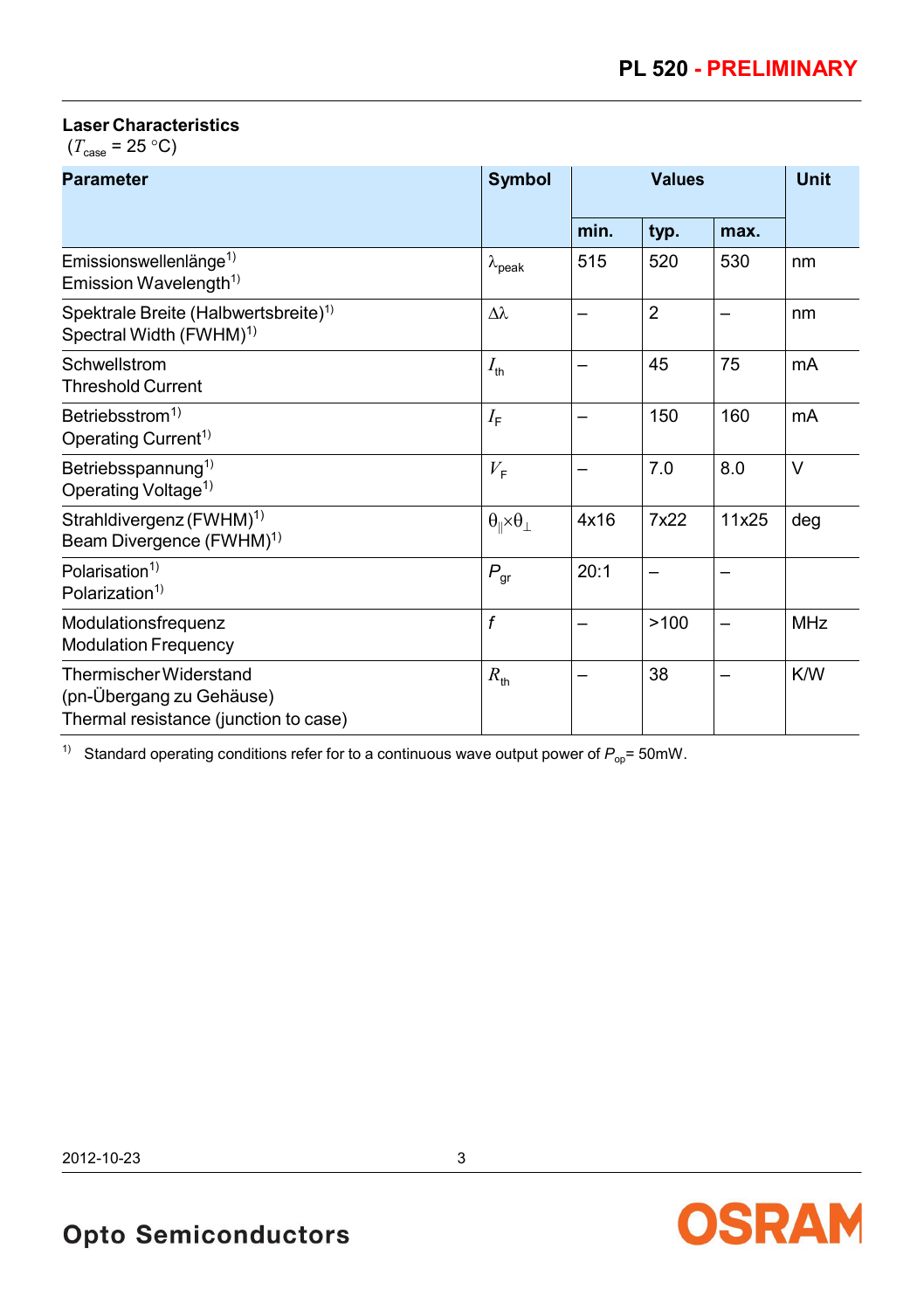### **Laser Characteristics**

 $(T_{\text{case}} = 25 \text{ °C})$ 

| <b>Parameter</b>                                                                            | Symbol                                     | <b>Values</b> |                |       | <b>Unit</b> |
|---------------------------------------------------------------------------------------------|--------------------------------------------|---------------|----------------|-------|-------------|
|                                                                                             |                                            | min.          | typ.           | max.  |             |
| Emissionswellenlänge <sup>1)</sup><br>Emission Wavelength <sup>1)</sup>                     | $\lambda_{\mathsf{peak}}$                  | 515           | 520            | 530   | nm          |
| Spektrale Breite (Halbwertsbreite) <sup>1)</sup><br>Spectral Width (FWHM) <sup>1)</sup>     | $\lambda\lambda$                           |               | $\overline{2}$ |       | nm          |
| Schwellstrom<br><b>Threshold Current</b>                                                    | $I_{\text{th}}$                            |               | 45             | 75    | mA          |
| Betriebsstrom <sup>1)</sup><br>Operating Current <sup>1)</sup>                              | $I_{\text{F}}$                             |               | 150            | 160   | mA          |
| Betriebsspannung <sup>1)</sup><br>Operating Voltage <sup>1)</sup>                           | $V_{\rm F}$                                |               | 7.0            | 8.0   | V           |
| Strahldivergenz (FWHM) <sup>1)</sup><br>Beam Divergence (FWHM) <sup>1)</sup>                | $\theta_{\parallel} \times \theta_{\perp}$ | 4x16          | 7x22           | 11x25 | deg         |
| Polarisation <sup>1)</sup><br>Polarization <sup>1)</sup>                                    | $P_{gr}$                                   | 20:1          |                |       |             |
| Modulationsfrequenz<br><b>Modulation Frequency</b>                                          | f                                          |               | >100           |       | <b>MHz</b>  |
| Thermischer Widerstand<br>(pn-Übergang zu Gehäuse)<br>Thermal resistance (junction to case) | $R_{\text{th}}$                            |               | 38             |       | K/W         |

<sup>1)</sup> Standard operating conditions refer for to a continuous wave output power of  $P_{op}$ = 50mW.

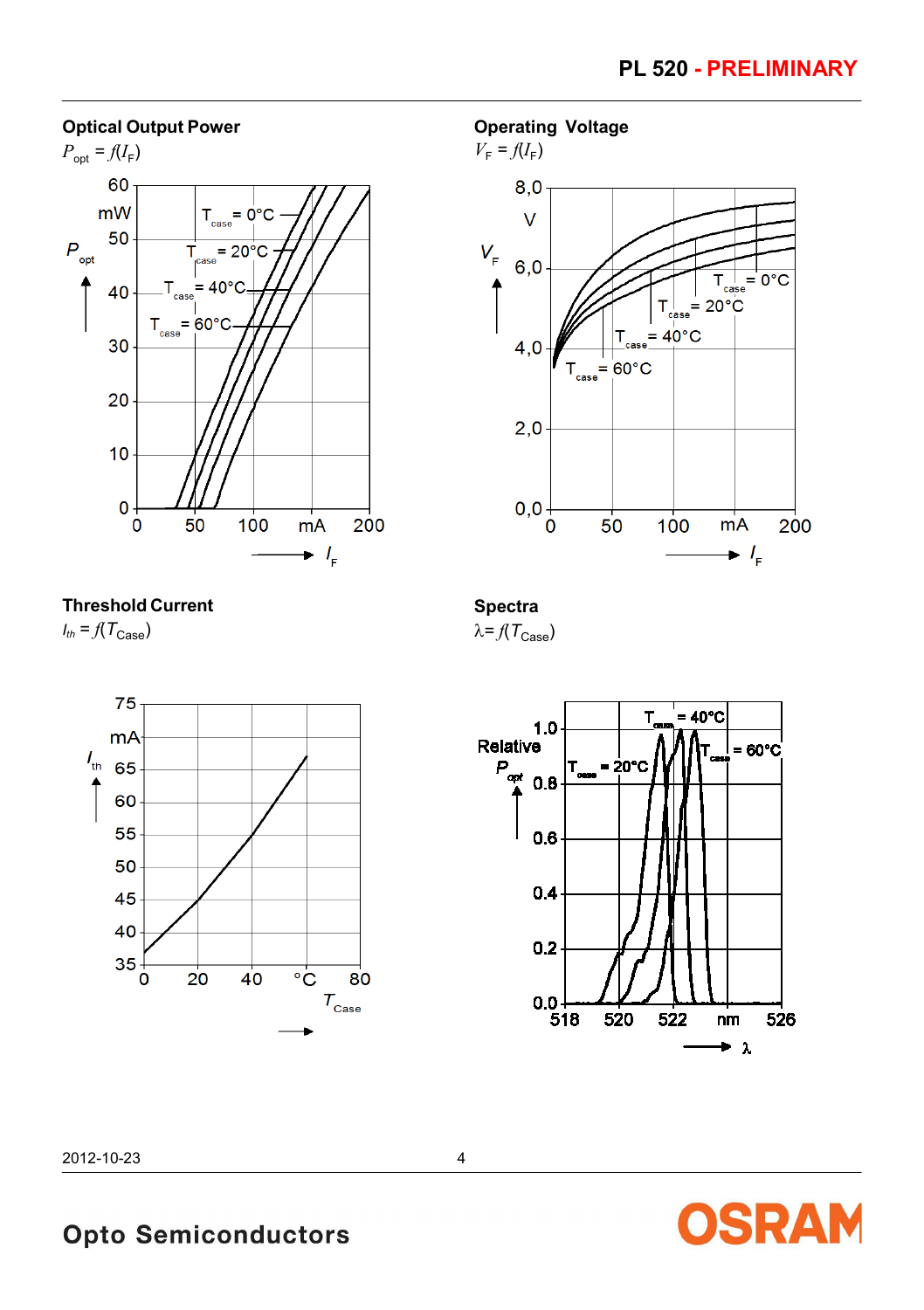#### **Optical Output Power**



**Operating Voltage**



**Threshold Current**  $I_{th} = f(T_{\text{Case}})$ 

**Spectra**  $\lambda = f(T_{\text{Case}})$ 







2012-10-23 4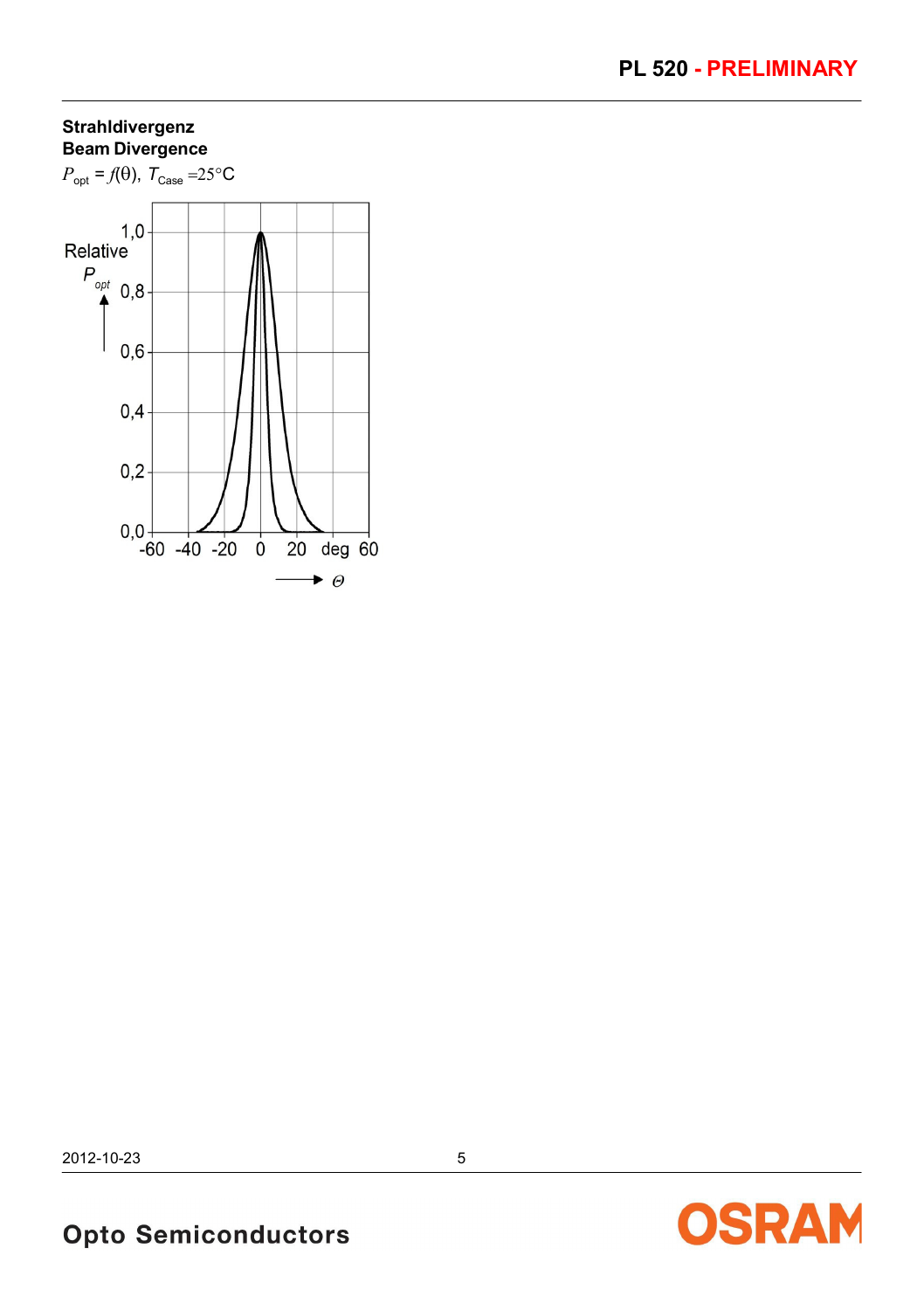### **Strahldivergenz Beam Divergence**



2012-10-23 5

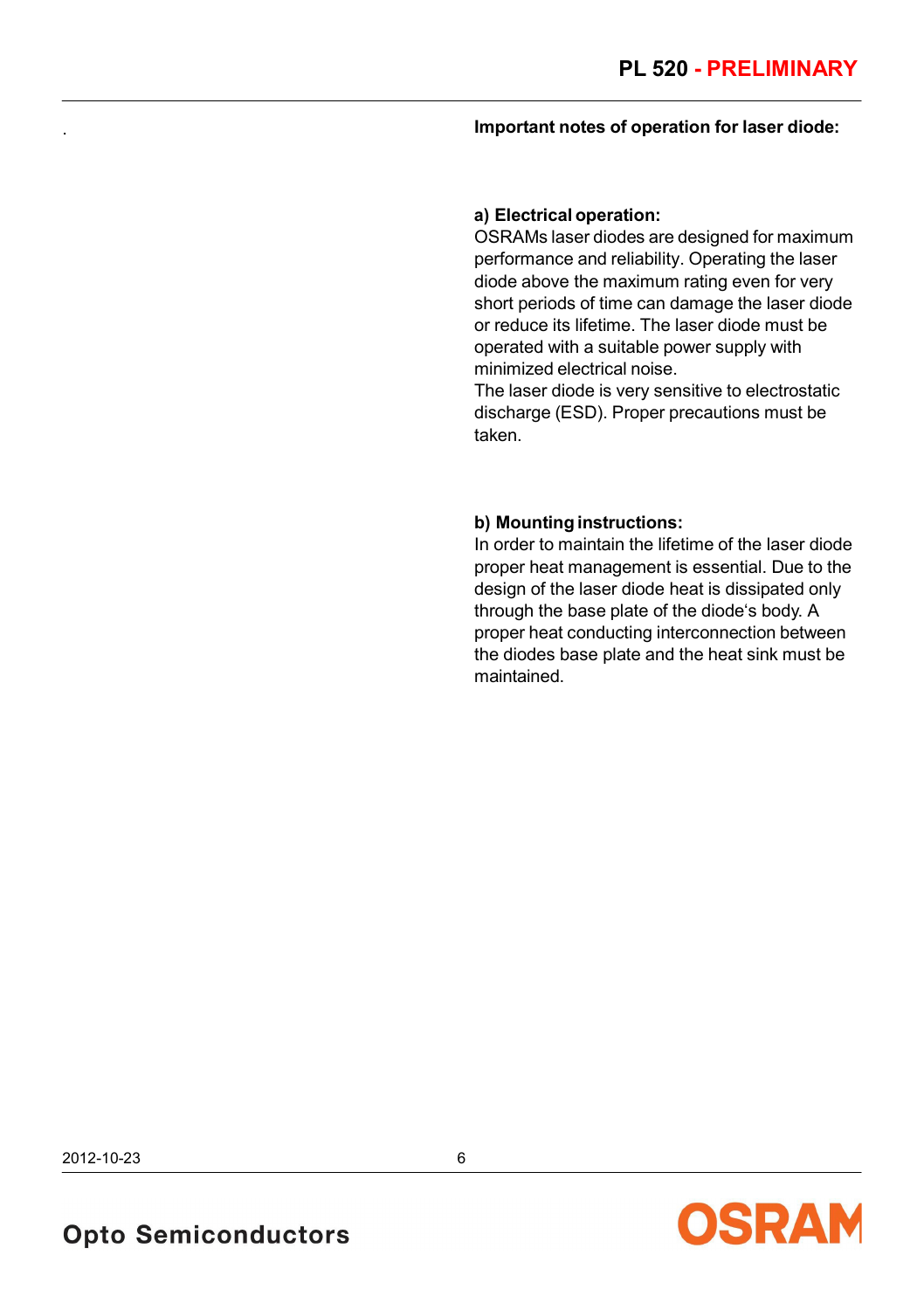#### . **Important notes of operation for laser diode:**

#### **a) Electrical operation:**

OSRAMs laser diodes are designed for maximum performance and reliability. Operating the laser diode above the maximum rating even for very short periods of time can damage the laser diode or reduce its lifetime. The laser diode must be operated with a suitable power supply with minimized electrical noise.

The laser diode is very sensitive to electrostatic discharge (ESD). Proper precautions must be taken.

#### **b) Mounting instructions:**

In order to maintain the lifetime of the laser diode proper heat management is essential. Due to the design of the laser diode heat is dissipated only through the base plate of the diode's body. A proper heat conducting interconnection between the diodes base plate and the heat sink must be maintained.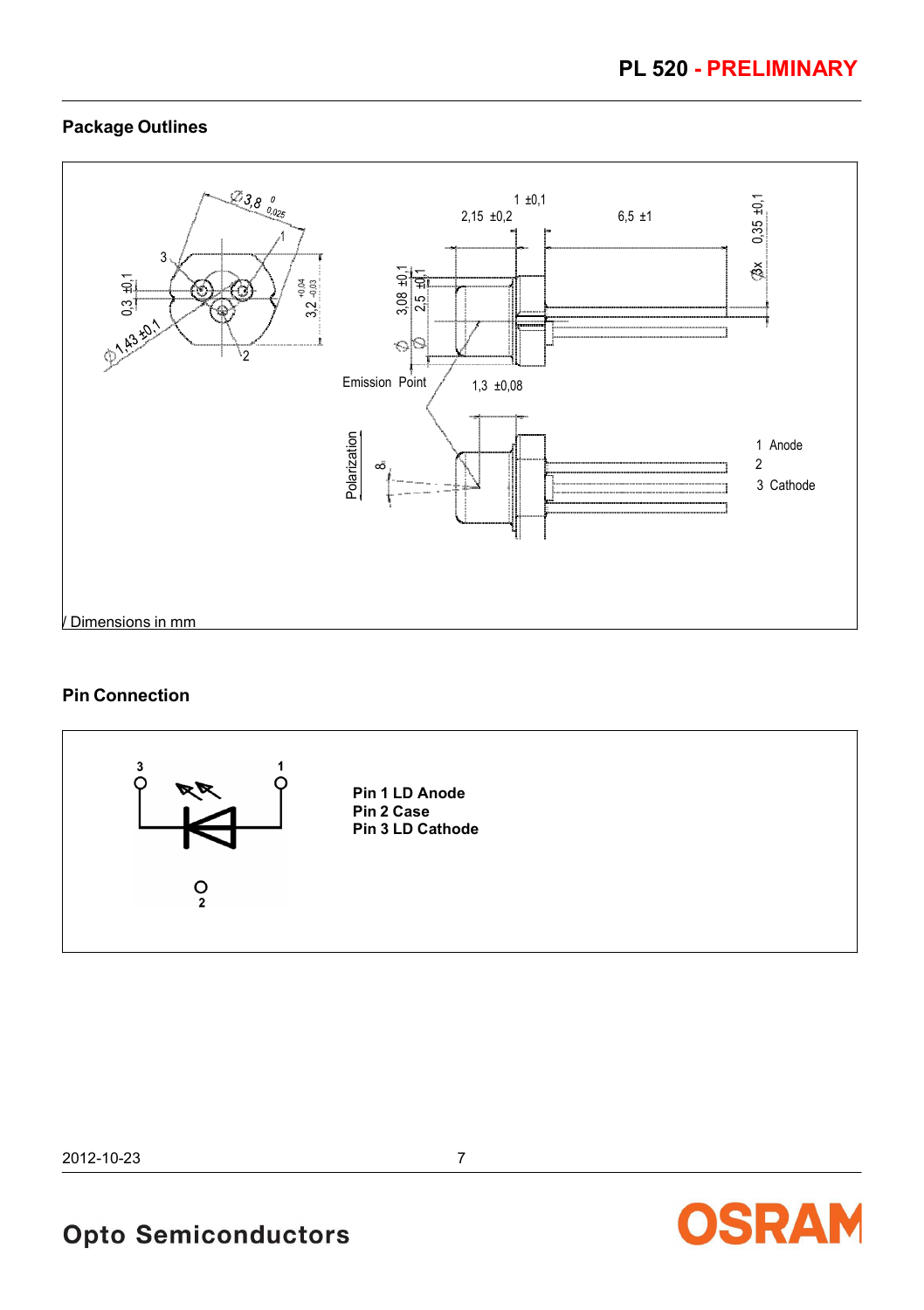### **Package Outlines**



#### **Pin Connection**



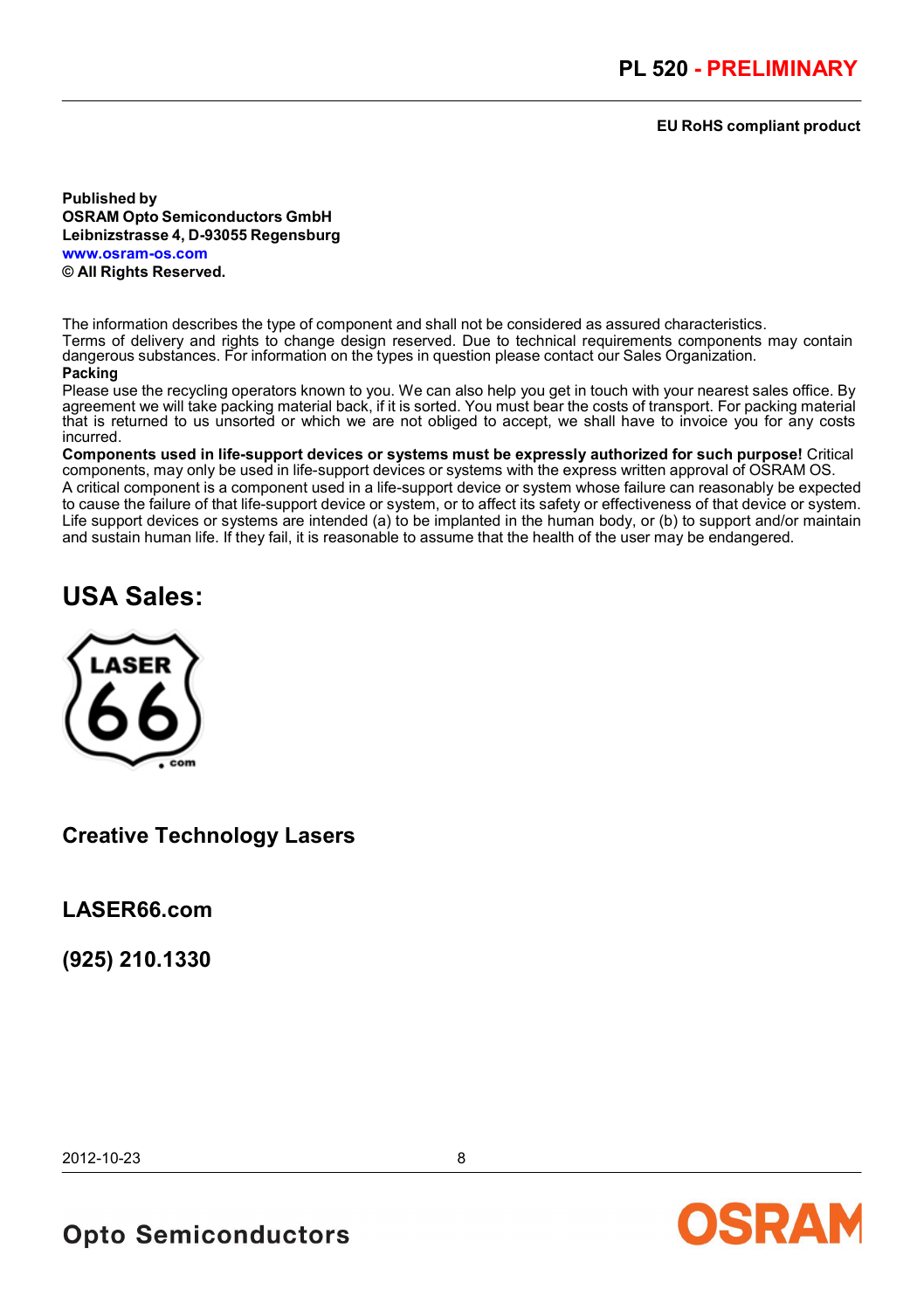#### **EU RoHS compliant product**

**Published by OSRAM Opto Semiconductors GmbH Leibnizstrasse 4, D-93055 Regensburg www.osram-os.com**

**© All Rights Reserved.**

The information describes the type of component and shall not be considered as assured characteristics. Terms of delivery and rights to change design reserved. Due to technical requirements components may contain dangerous substances. For information on the types in question please contact our Sales Organization.

#### **Packing**

Please use the recycling operators known to you. We can also help you get in touch with your nearest sales office. By agreement we will take packing material back, if it is sorted. You must bear the costs of transport. For packing material that is returned to us unsorted or which we are not obliged to accept, we shall have to invoice you for any costs incurred.

**Components used in life-support devices or systems must be expressly authorized for such purpose!** Critical components, may only be used in life-support devices or systems with the express written approval of OSRAM OS. A critical component is a component used in a life-support device or system whose failure can reasonably be expected to cause the failure of that life-support device or system, or to affect its safety or effectiveness of that device or system. Life support devices or systems are intended (a) to be implanted in the human body, or (b) to support and/or maintain and sustain human life. If they fail, it is reasonable to assume that the health of the user may be endangered.

# **USA Sales:**



### **Creative Technology Lasers**

**LASER66.com** 

**(925) 210.1330**

2012-10-23 8